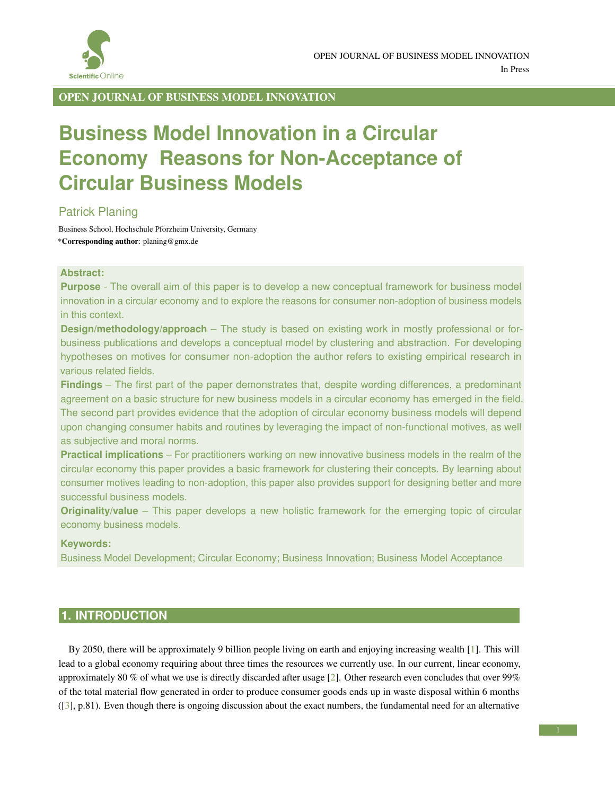

OPEN JOURNAL OF BUSINESS MODEL INNOVATION

# **Business Model Innovation in a Circular Economy Reasons for Non-Acceptance of Circular Business Models**

## Patrick Planing

Business School, Hochschule Pforzheim University, Germany \*Corresponding author: planing@gmx.de

#### **Abstract:**

**Purpose** - The overall aim of this paper is to develop a new conceptual framework for business model innovation in a circular economy and to explore the reasons for consumer non-adoption of business models in this context.

**Design/methodology/approach** – The study is based on existing work in mostly professional or forbusiness publications and develops a conceptual model by clustering and abstraction. For developing hypotheses on motives for consumer non-adoption the author refers to existing empirical research in various related fields.

**Findings** – The first part of the paper demonstrates that, despite wording differences, a predominant agreement on a basic structure for new business models in a circular economy has emerged in the field. The second part provides evidence that the adoption of circular economy business models will depend upon changing consumer habits and routines by leveraging the impact of non-functional motives, as well as subjective and moral norms.

**Practical implications** – For practitioners working on new innovative business models in the realm of the circular economy this paper provides a basic framework for clustering their concepts. By learning about consumer motives leading to non-adoption, this paper also provides support for designing better and more successful business models.

**Originality/value** – This paper develops a new holistic framework for the emerging topic of circular economy business models.

### **Keywords:**

Business Model Development; Circular Economy; Business Innovation; Business Model Acceptance

# **1. INTRODUCTION**

By 2050, there will be approximately 9 billion people living on earth and enjoying increasing wealth [\[1\]](#page-9-0). This will lead to a global economy requiring about three times the resources we currently use. In our current, linear economy, approximately 80 % of what we use is directly discarded after usage [\[2\]](#page-9-1). Other research even concludes that over 99% of the total material flow generated in order to produce consumer goods ends up in waste disposal within 6 months ([\[3\]](#page-9-2), p.81). Even though there is ongoing discussion about the exact numbers, the fundamental need for an alternative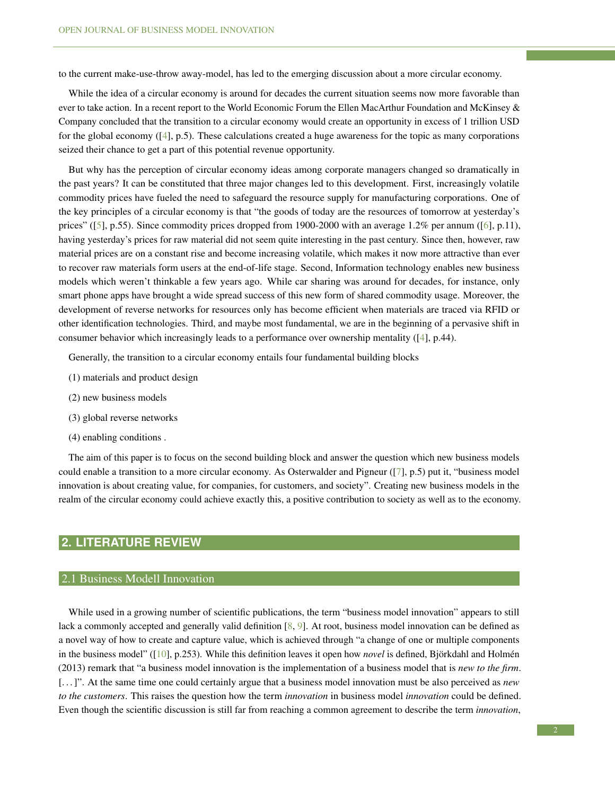to the current make-use-throw away-model, has led to the emerging discussion about a more circular economy.

While the idea of a circular economy is around for decades the current situation seems now more favorable than ever to take action. In a recent report to the World Economic Forum the Ellen MacArthur Foundation and McKinsey & Company concluded that the transition to a circular economy would create an opportunity in excess of 1 trillion USD for the global economy  $([4], p.5)$  $([4], p.5)$  $([4], p.5)$ . These calculations created a huge awareness for the topic as many corporations seized their chance to get a part of this potential revenue opportunity.

But why has the perception of circular economy ideas among corporate managers changed so dramatically in the past years? It can be constituted that three major changes led to this development. First, increasingly volatile commodity prices have fueled the need to safeguard the resource supply for manufacturing corporations. One of the key principles of a circular economy is that "the goods of today are the resources of tomorrow at yesterday's prices" ([\[5\]](#page-9-4), p.55). Since commodity prices dropped from 1900-2000 with an average 1.2% per annum ([\[6\]](#page-9-5), p.11), having yesterday's prices for raw material did not seem quite interesting in the past century. Since then, however, raw material prices are on a constant rise and become increasing volatile, which makes it now more attractive than ever to recover raw materials form users at the end-of-life stage. Second, Information technology enables new business models which weren't thinkable a few years ago. While car sharing was around for decades, for instance, only smart phone apps have brought a wide spread success of this new form of shared commodity usage. Moreover, the development of reverse networks for resources only has become efficient when materials are traced via RFID or other identification technologies. Third, and maybe most fundamental, we are in the beginning of a pervasive shift in consumer behavior which increasingly leads to a performance over ownership mentality ([\[4\]](#page-9-3), p.44).

Generally, the transition to a circular economy entails four fundamental building blocks

- (1) materials and product design
- (2) new business models
- (3) global reverse networks
- (4) enabling conditions .

The aim of this paper is to focus on the second building block and answer the question which new business models could enable a transition to a more circular economy. As Osterwalder and Pigneur ([\[7\]](#page-9-6), p.5) put it, "business model innovation is about creating value, for companies, for customers, and society". Creating new business models in the realm of the circular economy could achieve exactly this, a positive contribution to society as well as to the economy.

# **2. LITERATURE REVIEW**

### 2.1 Business Modell Innovation

While used in a growing number of scientific publications, the term "business model innovation" appears to still lack a commonly accepted and generally valid definition [\[8,](#page-9-7) [9\]](#page-9-8). At root, business model innovation can be defined as a novel way of how to create and capture value, which is achieved through "a change of one or multiple components in the business model" ( $[10]$ , p.253). While this definition leaves it open how *novel* is defined, Björkdahl and Holmén (2013) remark that "a business model innovation is the implementation of a business model that is *new to the firm*. [. . . ]". At the same time one could certainly argue that a business model innovation must be also perceived as *new to the customers*. This raises the question how the term *innovation* in business model *innovation* could be defined. Even though the scientific discussion is still far from reaching a common agreement to describe the term *innovation*,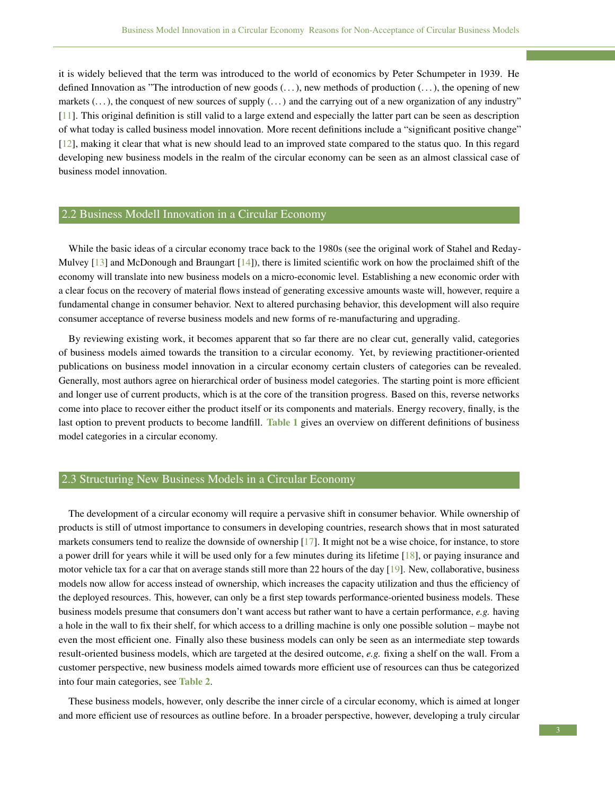it is widely believed that the term was introduced to the world of economics by Peter Schumpeter in 1939. He defined Innovation as "The introduction of new goods (. . . ), new methods of production (. . . ), the opening of new markets  $(\ldots)$ , the conquest of new sources of supply  $(\ldots)$  and the carrying out of a new organization of any industry" [\[11\]](#page-9-10). This original definition is still valid to a large extend and especially the latter part can be seen as description of what today is called business model innovation. More recent definitions include a "significant positive change" [\[12\]](#page-9-11), making it clear that what is new should lead to an improved state compared to the status quo. In this regard developing new business models in the realm of the circular economy can be seen as an almost classical case of business model innovation.

## 2.2 Business Modell Innovation in a Circular Economy

While the basic ideas of a circular economy trace back to the 1980s (see the original work of Stahel and Reday-Mulvey [\[13\]](#page-9-12) and McDonough and Braungart [\[14\]](#page-9-13)), there is limited scientific work on how the proclaimed shift of the economy will translate into new business models on a micro-economic level. Establishing a new economic order with a clear focus on the recovery of material flows instead of generating excessive amounts waste will, however, require a fundamental change in consumer behavior. Next to altered purchasing behavior, this development will also require consumer acceptance of reverse business models and new forms of re-manufacturing and upgrading.

By reviewing existing work, it becomes apparent that so far there are no clear cut, generally valid, categories of business models aimed towards the transition to a circular economy. Yet, by reviewing practitioner-oriented publications on business model innovation in a circular economy certain clusters of categories can be revealed. Generally, most authors agree on hierarchical order of business model categories. The starting point is more efficient and longer use of current products, which is at the core of the transition progress. Based on this, reverse networks come into place to recover either the product itself or its components and materials. Energy recovery, finally, is the last option to prevent products to become landfill. Table [1](#page-3-0) gives an overview on different definitions of business model categories in a circular economy.

## 2.3 Structuring New Business Models in a Circular Economy

The development of a circular economy will require a pervasive shift in consumer behavior. While ownership of products is still of utmost importance to consumers in developing countries, research shows that in most saturated markets consumers tend to realize the downside of ownership [\[17\]](#page-9-14). It might not be a wise choice, for instance, to store a power drill for years while it will be used only for a few minutes during its lifetime [\[18\]](#page-10-0), or paying insurance and motor vehicle tax for a car that on average stands still more than 22 hours of the day [\[19\]](#page-10-1). New, collaborative, business models now allow for access instead of ownership, which increases the capacity utilization and thus the efficiency of the deployed resources. This, however, can only be a first step towards performance-oriented business models. These business models presume that consumers don't want access but rather want to have a certain performance, *e.g.* having a hole in the wall to fix their shelf, for which access to a drilling machine is only one possible solution – maybe not even the most efficient one. Finally also these business models can only be seen as an intermediate step towards result-oriented business models, which are targeted at the desired outcome, *e.g.* fixing a shelf on the wall. From a customer perspective, new business models aimed towards more efficient use of resources can thus be categorized into four main categories, see Table [2](#page-3-1).

These business models, however, only describe the inner circle of a circular economy, which is aimed at longer and more efficient use of resources as outline before. In a broader perspective, however, developing a truly circular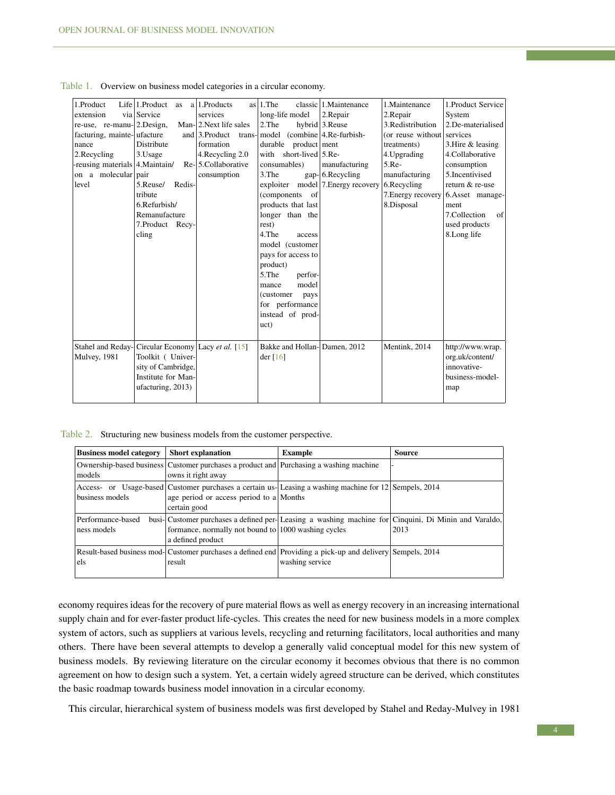<span id="page-3-0"></span>

| 1.Product                             | $Life 1.Product$ as                                | a 1. Products         | $as 1.$ The                          | classic 1. Maintenance             | 1. Maintenance     | 1. Product Service  |
|---------------------------------------|----------------------------------------------------|-----------------------|--------------------------------------|------------------------------------|--------------------|---------------------|
| extension                             | via Service                                        | services              | long-life model                      | 2.Repair                           | 2.Repair           | System              |
| $re$ -use, $re$ -manu- $ 2$ . Design, |                                                    | Man-2.Next life sales | 2. The                               | hybrid 3.Reuse                     | 3.Redistribution   | 2.De-materialised   |
| facturing, mainte-ufacture            |                                                    | and $\beta$ . Product | trans- model (combine 4. Re-furbish- |                                    | (or reuse without  | services            |
| nance                                 | Distribute                                         | formation             | durable product ment                 |                                    | treatments)        | 3. Hire $&$ leasing |
| 2. Recycling                          | 3.Usage                                            | 4. Recycling 2.0      | with short-lived $5$ . Re-           |                                    | 4. Upgrading       | 4.Collaborative     |
| -reusing materials 4. Maintain/       |                                                    | Re-5.Collaborative    | consumables)                         | manufacturing                      | $5.$ Re-           | consumption         |
| on a molecular pair                   |                                                    | consumption           | 3. The                               | $gap$ - 6. Recycling               | manufacturing      | 5.Incentivised      |
| level                                 | Redis-<br>5.Reuse/                                 |                       |                                      | exploiter model 7. Energy recovery | 6.Recycling        | return & re-use     |
|                                       | tribute                                            |                       | (components of                       |                                    | 7. Energy recovery | 6.Asset manage-     |
|                                       | 6.Refurbish/                                       |                       | products that last                   |                                    | 8.Disposal         | ment                |
|                                       | Remanufacture                                      |                       | longer than the                      |                                    |                    | 7.Collection<br>of  |
|                                       | 7.Product Recy-                                    |                       | rest)                                |                                    |                    | used products       |
|                                       | cling                                              |                       | 4.The<br>access                      |                                    |                    | 8.Long life         |
|                                       |                                                    |                       | model (customer                      |                                    |                    |                     |
|                                       |                                                    |                       | pays for access to                   |                                    |                    |                     |
|                                       |                                                    |                       | product)                             |                                    |                    |                     |
|                                       |                                                    |                       | 5. The<br>perfor-                    |                                    |                    |                     |
|                                       |                                                    |                       | model<br>mance                       |                                    |                    |                     |
|                                       |                                                    |                       | (customer)<br>pays                   |                                    |                    |                     |
|                                       |                                                    |                       | for performance                      |                                    |                    |                     |
|                                       |                                                    |                       | instead of prod-                     |                                    |                    |                     |
|                                       |                                                    |                       | uct)                                 |                                    |                    |                     |
|                                       |                                                    |                       |                                      |                                    |                    |                     |
|                                       | Stahel and Reday-Circular Economy Lacy et al. [15] |                       | Bakke and Hollan-Damen, 2012         |                                    | Mentink, 2014      | http://www.wrap.    |
| Mulvey, 1981                          | Toolkit ( Univer-                                  |                       | der $[16]$                           |                                    |                    | org.uk/content/     |
|                                       | sity of Cambridge,                                 |                       |                                      |                                    |                    | innovative-         |
|                                       | Institute for Man-                                 |                       |                                      |                                    |                    | business-model-     |
|                                       | ufacturing, 2013)                                  |                       |                                      |                                    |                    | map                 |
|                                       |                                                    |                       |                                      |                                    |                    |                     |
|                                       |                                                    |                       |                                      |                                    |                    |                     |

Table 1. Overview on business model categories in a circular economy.

Table 2. Structuring new business models from the customer perspective.

<span id="page-3-1"></span>

| <b>Business model category</b>   | <b>Short explanation</b>                                                                                     | <b>Example</b>                                                                                                               | <b>Source</b> |
|----------------------------------|--------------------------------------------------------------------------------------------------------------|------------------------------------------------------------------------------------------------------------------------------|---------------|
| models                           | Ownership-based business Customer purchases a product and Purchasing a washing machine<br>owns it right away |                                                                                                                              |               |
| business models                  | age period or access period to a Months<br>certain good                                                      | Access- or Usage-based Customer purchases a certain us-Leasing a washing machine for 12 Sempels, 2014                        |               |
| Performance-based<br>ness models | formance, normally not bound to $ 1000$ washing cycles<br>a defined product                                  | busi- Customer purchases a defined per- Leasing a washing machine for Cinquini, Di Minin and Varaldo,                        | 2013          |
| els                              | result                                                                                                       | Result-based business mod-Customer purchases a defined end Providing a pick-up and delivery Sempels, 2014<br>washing service |               |

economy requires ideas for the recovery of pure material flows as well as energy recovery in an increasing international supply chain and for ever-faster product life-cycles. This creates the need for new business models in a more complex system of actors, such as suppliers at various levels, recycling and returning facilitators, local authorities and many others. There have been several attempts to develop a generally valid conceptual model for this new system of business models. By reviewing literature on the circular economy it becomes obvious that there is no common agreement on how to design such a system. Yet, a certain widely agreed structure can be derived, which constitutes the basic roadmap towards business model innovation in a circular economy.

This circular, hierarchical system of business models was first developed by Stahel and Reday-Mulvey in 1981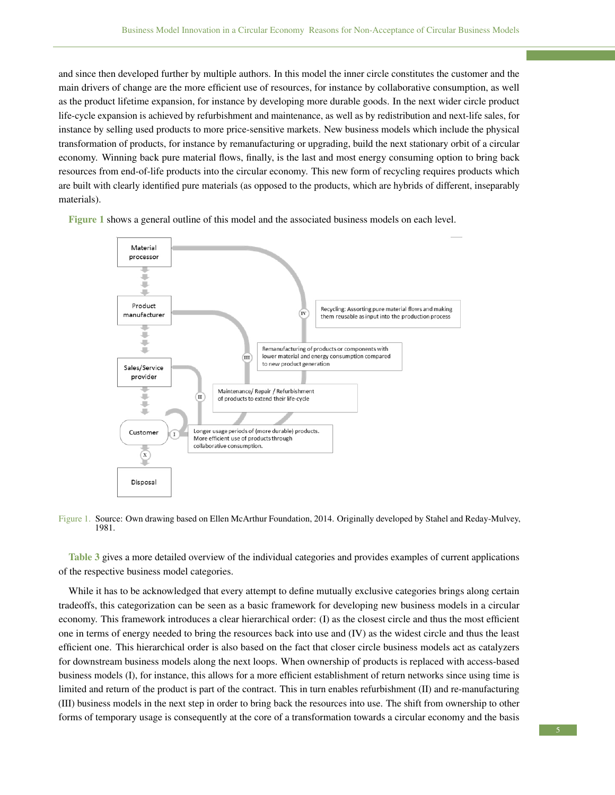and since then developed further by multiple authors. In this model the inner circle constitutes the customer and the main drivers of change are the more efficient use of resources, for instance by collaborative consumption, as well as the product lifetime expansion, for instance by developing more durable goods. In the next wider circle product life-cycle expansion is achieved by refurbishment and maintenance, as well as by redistribution and next-life sales, for instance by selling used products to more price-sensitive markets. New business models which include the physical transformation of products, for instance by remanufacturing or upgrading, build the next stationary orbit of a circular economy. Winning back pure material flows, finally, is the last and most energy consuming option to bring back resources from end-of-life products into the circular economy. This new form of recycling requires products which are built with clearly identified pure materials (as opposed to the products, which are hybrids of different, inseparably materials).

Figure [1](#page-4-0) shows a general outline of this model and the associated business models on each level.



<span id="page-4-0"></span>Figure 1. Source: Own drawing based on Ellen McArthur Foundation, 2014. Originally developed by Stahel and Reday-Mulvey, 1981.

Table [3](#page-5-0) gives a more detailed overview of the individual categories and provides examples of current applications of the respective business model categories.

While it has to be acknowledged that every attempt to define mutually exclusive categories brings along certain tradeoffs, this categorization can be seen as a basic framework for developing new business models in a circular economy. This framework introduces a clear hierarchical order: (I) as the closest circle and thus the most efficient one in terms of energy needed to bring the resources back into use and (IV) as the widest circle and thus the least efficient one. This hierarchical order is also based on the fact that closer circle business models act as catalyzers for downstream business models along the next loops. When ownership of products is replaced with access-based business models (I), for instance, this allows for a more efficient establishment of return networks since using time is limited and return of the product is part of the contract. This in turn enables refurbishment (II) and re-manufacturing (III) business models in the next step in order to bring back the resources into use. The shift from ownership to other forms of temporary usage is consequently at the core of a transformation towards a circular economy and the basis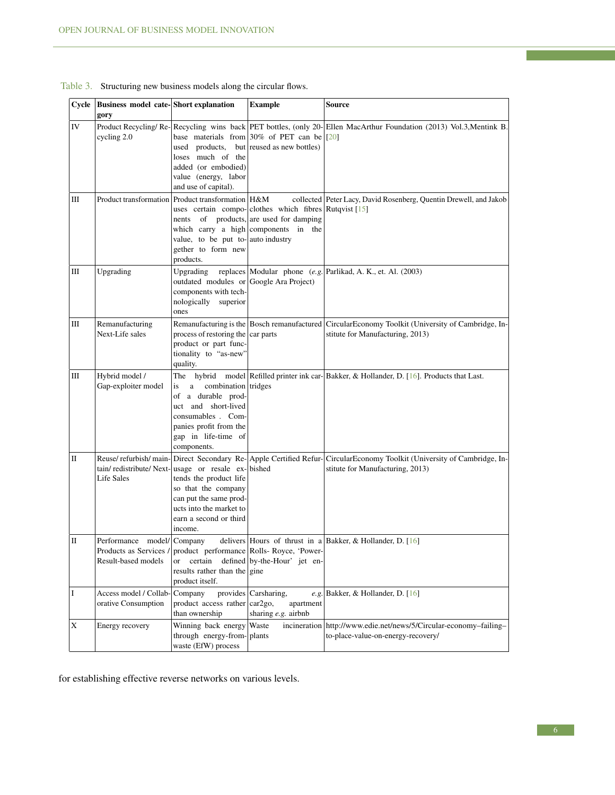<span id="page-5-0"></span>

|    | Cycle   Business model cate- Short explanation<br>gory                     |                                                                                                                                                                                             | <b>Example</b>                                                                                                                            | Source                                                                                                                                |
|----|----------------------------------------------------------------------------|---------------------------------------------------------------------------------------------------------------------------------------------------------------------------------------------|-------------------------------------------------------------------------------------------------------------------------------------------|---------------------------------------------------------------------------------------------------------------------------------------|
| IV | cycling 2.0                                                                | used products,<br>loses much of the<br>added (or embodied)<br>value (energy, labor<br>and use of capital).                                                                                  | base materials from 30% of PET can be<br>but reused as new bottles)                                                                       | Product Recycling/Re- Recycling wins back PET bottles, (only 20- Ellen MacArthur Foundation (2013) Vol.3, Mentink B.<br>[20]          |
| Ш  |                                                                            | Product transformation   Product transformation   H&M<br>value, to be put to- auto industry<br>gether to form new<br>products.                                                              | uses certain compo- clothes which fibres Rutqvist [15]<br>nents of products, are used for damping<br>which carry a high components in the | collected Peter Lacy, David Rosenberg, Quentin Drewell, and Jakob                                                                     |
| Ш  | Upgrading                                                                  | Upgrading<br>outdated modules or Google Ara Project)<br>components with tech-<br>nologically<br>superior<br>ones                                                                            |                                                                                                                                           | replaces Modular phone $(e.g.$ Parlikad, A. K., et. Al. (2003)                                                                        |
| Ш  | Remanufacturing<br>Next-Life sales                                         | process of restoring the car parts<br>product or part func-<br>tionality to "as-new"<br>quality.                                                                                            |                                                                                                                                           | Remanufacturing is the Bosch remanufactured CircularEconomy Toolkit (University of Cambridge, In-<br>stitute for Manufacturing, 2013) |
| Ш  | Hybrid model /<br>Gap-exploiter model                                      | combination tridges<br>is<br>a<br>of a durable prod-<br>uct and short-lived<br>consumables . Com-<br>panies profit from the<br>gap in life-time of<br>components.                           |                                                                                                                                           | The hybrid model Refilled printer ink car- $Bakker$ , & Hollander, D. [16]. Products that Last.                                       |
| П  | Life Sales                                                                 | tain/redistribute/Next-usage or resale ex-bished<br>tends the product life<br>so that the company<br>can put the same prod-<br>ucts into the market to<br>earn a second or third<br>income. | Reuse/refurbish/main- Direct Secondary Re- Apple Certified Refur-                                                                         | CircularEconomy Toolkit (University of Cambridge, In-<br>stitute for Manufacturing, 2013)                                             |
| П  | Performance model/Company<br>Products as Services /<br>Result-based models | <b>or</b><br>results rather than the gine<br>product itself.                                                                                                                                | product performance Rolls-Royce, 'Power-<br>certain defined by-the-Hour' jet en-                                                          | delivers Hours of thrust in a Bakker, & Hollander, D. $[16]$                                                                          |
| I  | Access model / Collab-<br>orative Consumption                              | Company<br>product access rather<br>than ownership                                                                                                                                          | provides Carsharing,<br>car2go,<br>apartment<br>sharing e.g. airbnb                                                                       | e.g. Bakker, & Hollander, D. $[16]$                                                                                                   |
| X  | Energy recovery                                                            | Winning back energy<br>through energy-from-plants<br>waste (EfW) process                                                                                                                    | Waste<br>incineration                                                                                                                     | http://www.edie.net/news/5/Circular-economy-failing-<br>to-place-value-on-energy-recovery/                                            |

## Table 3. Structuring new business models along the circular flows.

for establishing effective reverse networks on various levels.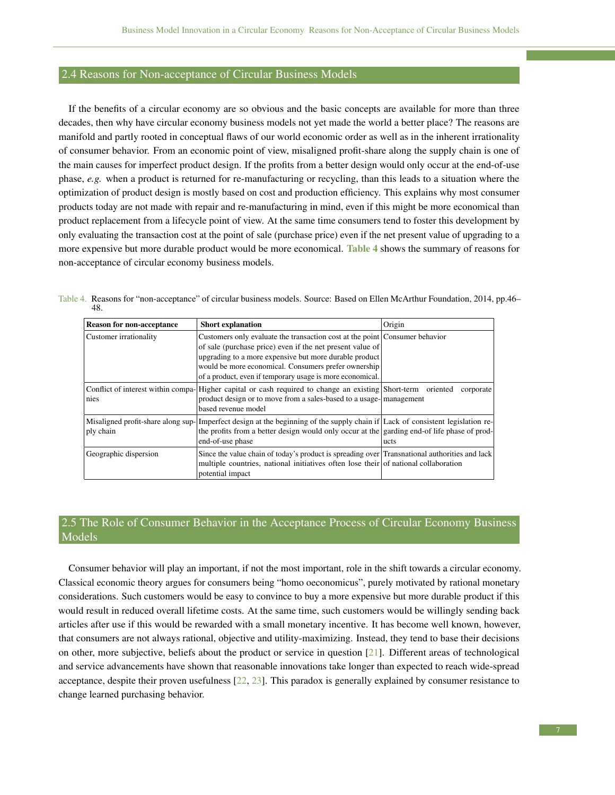### 2.4 Reasons for Non-acceptance of Circular Business Models

If the benefits of a circular economy are so obvious and the basic concepts are available for more than three decades, then why have circular economy business models not yet made the world a better place? The reasons are manifold and partly rooted in conceptual flaws of our world economic order as well as in the inherent irrationality of consumer behavior. From an economic point of view, misaligned profit-share along the supply chain is one of the main causes for imperfect product design. If the profits from a better design would only occur at the end-of-use phase, *e.g.* when a product is returned for re-manufacturing or recycling, than this leads to a situation where the optimization of product design is mostly based on cost and production efficiency. This explains why most consumer products today are not made with repair and re-manufacturing in mind, even if this might be more economical than product replacement from a lifecycle point of view. At the same time consumers tend to foster this development by only evaluating the transaction cost at the point of sale (purchase price) even if the net present value of upgrading to a more expensive but more durable product would be more economical. Table [4](#page-6-0) shows the summary of reasons for non-acceptance of circular economy business models.

Table 4. Reasons for "non-acceptance" of circular business models. Source: Based on Ellen McArthur Foundation, 2014, pp.46– 48.

<span id="page-6-0"></span>

| <b>Reason for non-acceptance</b> | <b>Short explanation</b>                                                                                                                                                                                                                         | Origin    |  |
|----------------------------------|--------------------------------------------------------------------------------------------------------------------------------------------------------------------------------------------------------------------------------------------------|-----------|--|
| Customer irrationality           | Customers only evaluate the transaction cost at the point Consumer behavior<br>of sale (purchase price) even if the net present value of                                                                                                         |           |  |
|                                  | upgrading to a more expensive but more durable product<br>would be more economical. Consumers prefer ownership<br>of a product, even if temporary usage is more economical.                                                                      |           |  |
| nies                             | Conflict of interest within compa-Higher capital or cash required to change an existing Short-term oriented<br>product design or to move from a sales-based to a usage- management<br>based revenue model                                        | corporate |  |
| ply chain                        | Misaligned profit-share along sup-Imperfect design at the beginning of the supply chain if Lack of consistent legislation re-<br>the profits from a better design would only occur at the garding end-of life phase of prod-<br>end-of-use phase | ucts      |  |
| Geographic dispersion            | Since the value chain of today's product is spreading over Transnational authorities and lack<br>multiple countries, national initiatives often lose their of national collaboration<br>potential impact                                         |           |  |

# 2.5 The Role of Consumer Behavior in the Acceptance Process of Circular Economy Business Models

Consumer behavior will play an important, if not the most important, role in the shift towards a circular economy. Classical economic theory argues for consumers being "homo oeconomicus", purely motivated by rational monetary considerations. Such customers would be easy to convince to buy a more expensive but more durable product if this would result in reduced overall lifetime costs. At the same time, such customers would be willingly sending back articles after use if this would be rewarded with a small monetary incentive. It has become well known, however, that consumers are not always rational, objective and utility-maximizing. Instead, they tend to base their decisions on other, more subjective, beliefs about the product or service in question [\[21\]](#page-10-3). Different areas of technological and service advancements have shown that reasonable innovations take longer than expected to reach wide-spread acceptance, despite their proven usefulness [\[22,](#page-10-4) [23\]](#page-10-5). This paradox is generally explained by consumer resistance to change learned purchasing behavior.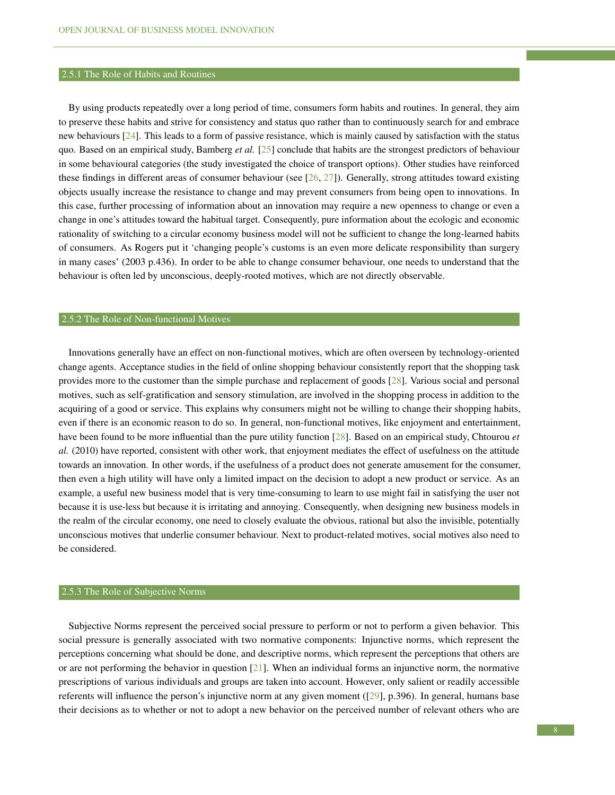#### 2.5.1 The Role of Habits and Routines

By using products repeatedly over a long period of time, consumers form habits and routines. In general, they aim to preserve these habits and strive for consistency and status quo rather than to continuously search for and embrace new behaviours [\[24\]](#page-10-6). This leads to a form of passive resistance, which is mainly caused by satisfaction with the status quo. Based on an empirical study, Bamberg *et al.* [\[25\]](#page-10-7) conclude that habits are the strongest predictors of behaviour in some behavioural categories (the study investigated the choice of transport options). Other studies have reinforced these findings in different areas of consumer behaviour (see  $[26, 27]$  $[26, 27]$  $[26, 27]$ ). Generally, strong attitudes toward existing objects usually increase the resistance to change and may prevent consumers from being open to innovations. In this case, further processing of information about an innovation may require a new openness to change or even a change in one's attitudes toward the habitual target. Consequently, pure information about the ecologic and economic rationality of switching to a circular economy business model will not be sufficient to change the long-learned habits of consumers. As Rogers put it 'changing people's customs is an even more delicate responsibility than surgery in many cases' (2003 p.436). In order to be able to change consumer behaviour, one needs to understand that the behaviour is often led by unconscious, deeply-rooted motives, which are not directly observable.

#### 2.5.2 The Role of Non-functional Motives

Innovations generally have an effect on non-functional motives, which are often overseen by technology-oriented change agents. Acceptance studies in the field of online shopping behaviour consistently report that the shopping task provides more to the customer than the simple purchase and replacement of goods [\[28\]](#page-10-10). Various social and personal motives, such as self-gratification and sensory stimulation, are involved in the shopping process in addition to the acquiring of a good or service. This explains why consumers might not be willing to change their shopping habits, even if there is an economic reason to do so. In general, non-functional motives, like enjoyment and entertainment, have been found to be more influential than the pure utility function [\[28\]](#page-10-10). Based on an empirical study, Chtourou *et al.* (2010) have reported, consistent with other work, that enjoyment mediates the effect of usefulness on the attitude towards an innovation. In other words, if the usefulness of a product does not generate amusement for the consumer, then even a high utility will have only a limited impact on the decision to adopt a new product or service. As an example, a useful new business model that is very time-consuming to learn to use might fail in satisfying the user not because it is use-less but because it is irritating and annoying. Consequently, when designing new business models in the realm of the circular economy, one need to closely evaluate the obvious, rational but also the invisible, potentially unconscious motives that underlie consumer behaviour. Next to product-related motives, social motives also need to be considered.

#### 2.5.3 The Role of Subjective Norms

Subjective Norms represent the perceived social pressure to perform or not to perform a given behavior. This social pressure is generally associated with two normative components: Injunctive norms, which represent the perceptions concerning what should be done, and descriptive norms, which represent the perceptions that others are or are not performing the behavior in question [\[21\]](#page-10-3). When an individual forms an injunctive norm, the normative prescriptions of various individuals and groups are taken into account. However, only salient or readily accessible referents will influence the person's injunctive norm at any given moment ([\[29\]](#page-10-11), p.396). In general, humans base their decisions as to whether or not to adopt a new behavior on the perceived number of relevant others who are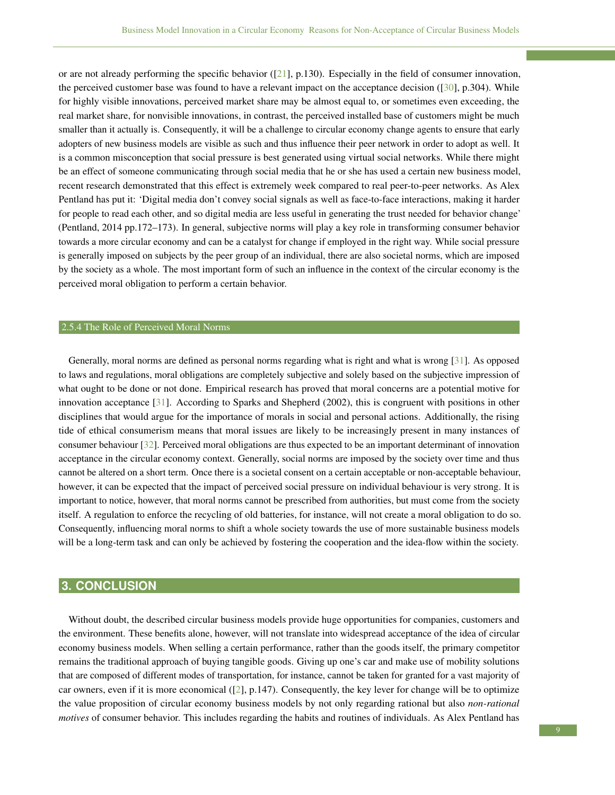or are not already performing the specific behavior ( $[21]$ , p.130). Especially in the field of consumer innovation, the perceived customer base was found to have a relevant impact on the acceptance decision ( $[30]$ , p.304). While for highly visible innovations, perceived market share may be almost equal to, or sometimes even exceeding, the real market share, for nonvisible innovations, in contrast, the perceived installed base of customers might be much smaller than it actually is. Consequently, it will be a challenge to circular economy change agents to ensure that early adopters of new business models are visible as such and thus influence their peer network in order to adopt as well. It is a common misconception that social pressure is best generated using virtual social networks. While there might be an effect of someone communicating through social media that he or she has used a certain new business model, recent research demonstrated that this effect is extremely week compared to real peer-to-peer networks. As Alex Pentland has put it: 'Digital media don't convey social signals as well as face-to-face interactions, making it harder for people to read each other, and so digital media are less useful in generating the trust needed for behavior change' (Pentland, 2014 pp.172–173). In general, subjective norms will play a key role in transforming consumer behavior towards a more circular economy and can be a catalyst for change if employed in the right way. While social pressure is generally imposed on subjects by the peer group of an individual, there are also societal norms, which are imposed by the society as a whole. The most important form of such an influence in the context of the circular economy is the perceived moral obligation to perform a certain behavior.

#### 2.5.4 The Role of Perceived Moral Norms

Generally, moral norms are defined as personal norms regarding what is right and what is wrong [\[31\]](#page-10-13). As opposed to laws and regulations, moral obligations are completely subjective and solely based on the subjective impression of what ought to be done or not done. Empirical research has proved that moral concerns are a potential motive for innovation acceptance [\[31\]](#page-10-13). According to Sparks and Shepherd (2002), this is congruent with positions in other disciplines that would argue for the importance of morals in social and personal actions. Additionally, the rising tide of ethical consumerism means that moral issues are likely to be increasingly present in many instances of consumer behaviour [\[32\]](#page-10-14). Perceived moral obligations are thus expected to be an important determinant of innovation acceptance in the circular economy context. Generally, social norms are imposed by the society over time and thus cannot be altered on a short term. Once there is a societal consent on a certain acceptable or non-acceptable behaviour, however, it can be expected that the impact of perceived social pressure on individual behaviour is very strong. It is important to notice, however, that moral norms cannot be prescribed from authorities, but must come from the society itself. A regulation to enforce the recycling of old batteries, for instance, will not create a moral obligation to do so. Consequently, influencing moral norms to shift a whole society towards the use of more sustainable business models will be a long-term task and can only be achieved by fostering the cooperation and the idea-flow within the society.

# **3. CONCLUSION**

Without doubt, the described circular business models provide huge opportunities for companies, customers and the environment. These benefits alone, however, will not translate into widespread acceptance of the idea of circular economy business models. When selling a certain performance, rather than the goods itself, the primary competitor remains the traditional approach of buying tangible goods. Giving up one's car and make use of mobility solutions that are composed of different modes of transportation, for instance, cannot be taken for granted for a vast majority of car owners, even if it is more economical ([\[2\]](#page-9-1), p.147). Consequently, the key lever for change will be to optimize the value proposition of circular economy business models by not only regarding rational but also *non-rational motives* of consumer behavior. This includes regarding the habits and routines of individuals. As Alex Pentland has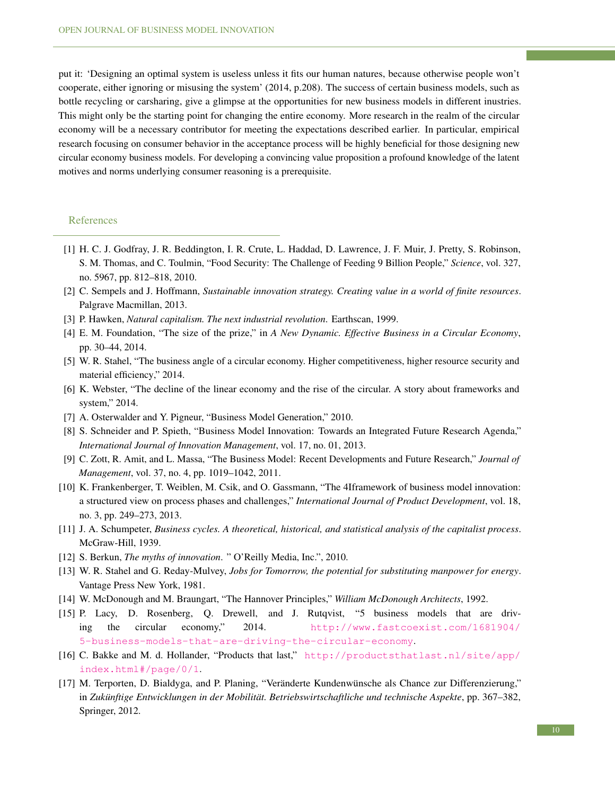put it: 'Designing an optimal system is useless unless it fits our human natures, because otherwise people won't cooperate, either ignoring or misusing the system' (2014, p.208). The success of certain business models, such as bottle recycling or carsharing, give a glimpse at the opportunities for new business models in different inustries. This might only be the starting point for changing the entire economy. More research in the realm of the circular economy will be a necessary contributor for meeting the expectations described earlier. In particular, empirical research focusing on consumer behavior in the acceptance process will be highly beneficial for those designing new circular economy business models. For developing a convincing value proposition a profound knowledge of the latent motives and norms underlying consumer reasoning is a prerequisite.

#### References

- <span id="page-9-0"></span>[1] H. C. J. Godfray, J. R. Beddington, I. R. Crute, L. Haddad, D. Lawrence, J. F. Muir, J. Pretty, S. Robinson, S. M. Thomas, and C. Toulmin, "Food Security: The Challenge of Feeding 9 Billion People," *Science*, vol. 327, no. 5967, pp. 812–818, 2010.
- <span id="page-9-1"></span>[2] C. Sempels and J. Hoffmann, *Sustainable innovation strategy. Creating value in a world of finite resources*. Palgrave Macmillan, 2013.
- <span id="page-9-2"></span>[3] P. Hawken, *Natural capitalism. The next industrial revolution*. Earthscan, 1999.
- <span id="page-9-3"></span>[4] E. M. Foundation, "The size of the prize," in *A New Dynamic. Effective Business in a Circular Economy*, pp. 30–44, 2014.
- <span id="page-9-4"></span>[5] W. R. Stahel, "The business angle of a circular economy. Higher competitiveness, higher resource security and material efficiency," 2014.
- <span id="page-9-5"></span>[6] K. Webster, "The decline of the linear economy and the rise of the circular. A story about frameworks and system," 2014.
- <span id="page-9-6"></span>[7] A. Osterwalder and Y. Pigneur, "Business Model Generation," 2010.
- <span id="page-9-7"></span>[8] S. Schneider and P. Spieth, "Business Model Innovation: Towards an Integrated Future Research Agenda," *International Journal of Innovation Management*, vol. 17, no. 01, 2013.
- <span id="page-9-8"></span>[9] C. Zott, R. Amit, and L. Massa, "The Business Model: Recent Developments and Future Research," *Journal of Management*, vol. 37, no. 4, pp. 1019–1042, 2011.
- <span id="page-9-9"></span>[10] K. Frankenberger, T. Weiblen, M. Csik, and O. Gassmann, "The 4Iframework of business model innovation: a structured view on process phases and challenges," *International Journal of Product Development*, vol. 18, no. 3, pp. 249–273, 2013.
- <span id="page-9-10"></span>[11] J. A. Schumpeter, *Business cycles. A theoretical, historical, and statistical analysis of the capitalist process*. McGraw-Hill, 1939.
- <span id="page-9-11"></span>[12] S. Berkun, *The myths of innovation*. " O'Reilly Media, Inc.", 2010.
- <span id="page-9-12"></span>[13] W. R. Stahel and G. Reday-Mulvey, *Jobs for Tomorrow, the potential for substituting manpower for energy*. Vantage Press New York, 1981.
- <span id="page-9-13"></span>[14] W. McDonough and M. Braungart, "The Hannover Principles," *William McDonough Architects*, 1992.
- <span id="page-9-15"></span>[15] P. Lacy, D. Rosenberg, Q. Drewell, and J. Rutqvist, "5 business models that are driving the circular economy," 2014. [http://www.fastcoexist.com/1681904/](http://www.fastcoexist.com/1681904/5-business-models-that-are-driving-the-circular-economy) [5-business-models-that-are-driving-the-circular-economy](http://www.fastcoexist.com/1681904/5-business-models-that-are-driving-the-circular-economy).
- <span id="page-9-16"></span>[16] C. Bakke and M. d. Hollander, "Products that last," [http://productsthatlast.nl/site/app/](http://productsthatlast.nl/site/app/index.html#/page/0/1) [index.html#/page/0/1](http://productsthatlast.nl/site/app/index.html#/page/0/1).
- <span id="page-9-14"></span>[17] M. Terporten, D. Bialdyga, and P. Planing, "Veränderte Kundenwünsche als Chance zur Differenzierung," in Zukünftige Entwicklungen in der Mobilität. Betriebswirtschaftliche und technische Aspekte, pp. 367–382, Springer, 2012.